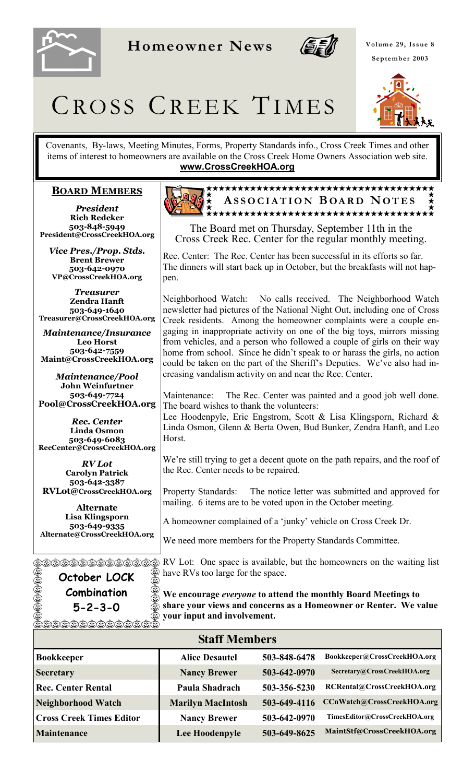

**Homeowner News** 



**Volume 29, Issue 8 September 2003** 

# CROSS CREEK TIMES

Covenants, By-laws, Meeting Minutes, Forms, Property Standards info., Cross Creek Times and other items of interest to homeowners are available on the Cross Creek Home Owners Association web site. **www.CrossCreekHOA.org**

#### **BOARD MEMBERS**

*President* **Rich Redeker 503-848-5949 President@CrossCreekHOA.org**

*Vice Pres./Prop. Stds.* **Brent Brewer 503-642-0970 VP@CrossCreekHOA.org** 

*Treasurer* **Zendra Hanft 503-649-1640 Treasurer@CrossCreekHOA.org**

*Maintenance/Insurance*  **Leo Horst 503-642-7559 Maint@CrossCreekHOA.org**

*Maintenance/Pool* **John Weinfurtner 503-649-7724 Pool@CrossCreekHOA.org** 

*Rec. Center* **Linda Osmon 503-649-6083 RecCenter@CrossCreekHOA.org**

*RV Lot* **Carolyn Patrick 503-642-3387 RVLot@CrossCreekHOA.org**

**Alternate Lisa Klingsporn 503-649-9335 Alternate@CrossCreekHOA.org**

**October LOCK Combination 5-2-3-0**  @@@@@@@@@@



The Board met on Thursday, September 11th in the Cross Creek Rec. Center for the regular monthly meeting.

Rec. Center: The Rec. Center has been successful in its efforts so far. The dinners will start back up in October, but the breakfasts will not happen.

Neighborhood Watch: No calls received. The Neighborhood Watch newsletter had pictures of the National Night Out, including one of Cross Creek residents. Among the homeowner complaints were a couple engaging in inappropriate activity on one of the big toys, mirrors missing from vehicles, and a person who followed a couple of girls on their way home from school. Since he didn't speak to or harass the girls, no action could be taken on the part of the Sheriff's Deputies. We've also had increasing vandalism activity on and near the Rec. Center.

Maintenance: The Rec. Center was painted and a good job well done. The board wishes to thank the volunteers:

Lee Hoodenpyle, Eric Engstrom, Scott & Lisa Klingsporn, Richard & Linda Osmon, Glenn & Berta Owen, Bud Bunker, Zendra Hanft, and Leo Horst.

We're still trying to get a decent quote on the path repairs, and the roof of the Rec. Center needs to be repaired.

Property Standards: The notice letter was submitted and approved for mailing. 6 items are to be voted upon in the October meeting.

A homeowner complained of a 'junky' vehicle on Cross Creek Dr.

We need more members for the Property Standards Committee.

RV Lot: One space is available, but the homeowners on the waiting list have RVs too large for the space.

**We encourage** *everyone* **to attend the monthly Board Meetings to share your views and concerns as a Homeowner or Renter. We value your input and involvement.**

| <b>Staff Members</b>            |                          |              |                               |  |
|---------------------------------|--------------------------|--------------|-------------------------------|--|
| Bookkeeper                      | <b>Alice Desautel</b>    | 503-848-6478 | Bookkeeper@CrossCreekHOA.org  |  |
| Secretary                       | <b>Nancy Brewer</b>      | 503-642-0970 | Secretary@CrossCreekHOA.org   |  |
| <b>Rec. Center Rental</b>       | Paula Shadrach           | 503-356-5230 | RCRental@CrossCreekHOA.org    |  |
| Neighborhood Watch              | <b>Marilyn MacIntosh</b> | 503-649-4116 | CCnWatch@CrossCreekHOA.org    |  |
| <b>Cross Creek Times Editor</b> | <b>Nancy Brewer</b>      | 503-642-0970 | TimesEditor@CrossCreekHOA.org |  |
| Maintenance                     | Lee Hoodenpyle           | 503-649-8625 | MaintStf@CrossCreekHOA.org    |  |